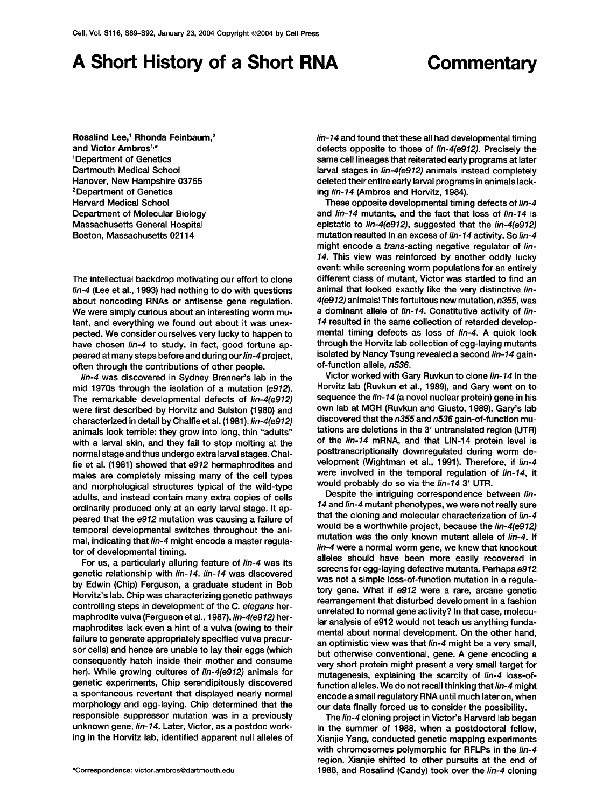## **A Short History of a Short RNA Commentary**

**Rosalind Lee,<sup>1</sup> Rhonda Feinbaum,<sup>2</sup>** and Victor Ambros<sup>1,\*</sup> 1Department of Genetics Dartmouth Medical School Hanover, New Hampshire 03755 2 Department of Genetics Harvard Medical School Department of Molecular Biology Massachusetts General Hospital Boston, Massachusetts 02114

The intellectual backdrop motivating our effort to clone *lin-4* (Lee et al., 1993) had nothing to do with questions about noncoding RNAs or antisense gene regulation. We were simply curious about an interesting worm mutant, and everything we found out about it was unexpected. We consider ourselves very lucky to happen to have chosen *lin-4* to study. In fact, good fortune appeared at many steps before and during *ourlin-4* project, often through the contributions of other people.

*lin-4* was discovered in Sydney Brenner's lab in the mid 1970s through the isolation of a mutation *(e912).*  The remarkable developmental defects of *lin-4(e912)*  were first described by Horvitz and Sulston (1980) and characterized in detail by Chalfie et al. (1981). *lin-4(e912)*  animals look terrible: they grow into long, thin "adults" with a larval skin, and they fail to stop molting at the normal stage and thus undergo extra larval stages. Chalfie et el. (1981) showed that *e912* hermaphrodites and males are completely missing many of the cell types and morphological structures typical of the wild-type adults, and instead contain many extra copies of cells ordinarily produced only at an early larval stage. It appeared that the *e912* mutation was causing a failure of temporal developmental switches throughout the animal, indicating that *lin-4* might encode a master regulator of developmental timing.

For us, a particularly alluring feature of *lin-4* was its genetic relationship with *lin-14, lin-14* was discovered by Edwin (Chip) Ferguson, a graduate student in Bob Horvitz's lab. Chip was characterizing genetic pathways controlling steps in development of the *C. elegans* hermaphrodite vulva (Ferguson et al., 1987). *lin-4(e912)* hermaphrodites lack even a hint of a vulva (owing to their failure to generate appropriately specified vulva precursor cells) and hence are unable to lay their eggs (which consequently hatch inside their mother and consume her). While growing cultures of *lin-4(e912)* animals for genetic experiments, Chip serendipitously discovered a spontaneous revertant that displayed nearly normal morphology and egg-laying. Chip determined that the responsible suppressor mutation was in a previously unknown gene, *lin-14.* Later, Victor, as a postdoc working in the Horvitz lab, identified apparent null alleles of *lin-14* and found that these all had developmental timing defects opposite to those of *lin-4(e912).* Precisely the same cell lineages that reiterated early programs at later larval stages in *lin-4(e912)* animals instead completely deleted their entire early larval programs in animals lacking *lin-14* (Ambros and Horvitz, 1984).

These opposite developmental timing defects of *lin-4*  and *lin-14* mutants, and the fact that loss of *lin-14* is epistatic to *lin-4(e912),* suggested that the *lin-4(e912)*  mutation resulted in an excess of *lin-14* activity. So *lin-4*  might encode a *trans-acting* negative regulator of *lin-14.* This view was reinforced by another oddly lucky event: while screening worm populations for an entirely different class of mutant, Victor was startled to find an animal that looked exactly like the very distinctive *lin-4(e912)* animals! This fortuitous new mutation, *n355,* was a dominant allele of *lin-14.* Constitutive activity of *lin-14* resulted in the same collection of retarded developmental timing defects as loss of *lin-4.* A quick look through the Horvitz lab collection of egg-laying mutants isolated by Nancy Tsung revealed a second *lin-14* gainof-function allele, *n536.* 

Victor worked with Gary Ruvkun to clone *lin-14* in the Horvitz lab (Ruvkun et al., 1989), and Gary went on to sequence the *lin-14* (a novel nuclear protein) gene in his own lab at MGH (Ruvkun and Giusto, 1989). Gary's lab discovered that the *n355* and *n536* gain-of-function mutations are deletions in the 3' untranslated region (UTR) of the *lin-14* mRNA, and that LIN-14 protein level is posttranscriptionally downregulated during worm development (Wightman et al., 1991). Therefore, if *lin-4*  were involved in the temporal regulation of *lin-14,* it would probably do so via the *lin-14* 3' UTR.

Despite the intriguing correspondence between *lin-14* and *lin-4* mutant phenotypes, we were not really sure that the cloning and molecular characterization of *lin-4*  would be a worthwhile project, because the *lin-4(e912)*  mutation was the only known mutant allele of *lin-4.* If *lin-4* were a normal worm gene, we knew that knockout alleles should have been more easily recovered in screens for egg-laying defective mutants. Perhaps *e912*  was not a simple loss-of-function mutation in a regulatory gene. What if *e912* were a rare, arcane genetic rearrangement that disturbed development in a fashion unrelated to normal gene activity? In that case, molecular analysis of e912 would not teach us anything fundamental about normal development. On the other hand, an optimistic view was that *lin-4* might be a very small, but otherwise conventional, gene. A gene encoding a very short protein might present a very small target for mutagenesis, explaining the scarcity of *lin-4* loss-offunction alleles. We do not recall thinking that *lin-4* might encode a small regulatory RNA until much later on, when our data finally forced us to consider the possibility.

The *lin-4* cloning project in Victor's Harvard lab began in the summer of 1988, when a postdoctoral fellow, Xianjie Yang, conducted genetic mapping experiments with chromosomes polymorphic for RFLPs in the *lin-4*  region. Xianjie shifted to other pursuits at the end of 1988, and Rosalind (Candy) took over the *lin-4* cloning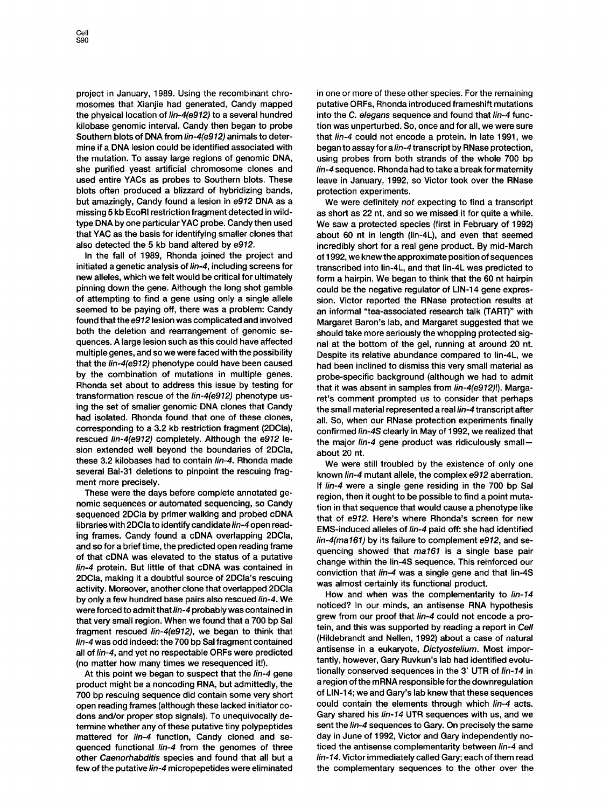project in January, 1989. Using the recombinant chromosomes that Xianjie had generated, Candy mapped the physical location of *lin-4(e912)* to a several hundred kilobase genomic interval. Candy then began to probe Southern blots of DNA from *lin-4(e912)* animals to determine if a DNA lesion could be identified associated with the mutation. To assay large regions of genomic DNA, she purified yeast artificial chromosome clones and used entire YACs as probes to Southern blots. These blots often produced a blizzard of hybridizing bands, but amazingly, Candy found a lesion in *e912* DNA as a missing 5 kb EcoRI restriction fragment detected in wildtype DNA by one particular YAC probe. Candy then used that YAC as the basis for identifying smaller clones that also detected the 5 kb band altered by *e912.* 

In the fall of 1989, Rhonda joined the project and initiated a genetic analysis of *lin-4,* including screens for new alleles, which we felt would be critical for ultimately pinning down the gene. Although the long shot gamble of attempting to find a gene using only a single allele seemed to be paying off, there was a problem: Candy found that the *e912* lesion was complicated and involved both the deletion and rearrangement of genomic sequences. A large lesion such as this could have affected multiple genes, and so we were faced with the possibility that the *lin-4(e912)* phenotype could have been caused by the combination of mutations in multiple genes. Rhonda set about to address this issue by testing for transformation rescue of the *lin-4(e912)* phenotype using the set of smaller genomic DNA clones that Candy had isolated. Rhonda found that one of these clones, corresponding to a 3.2 kb restriction fragment (2DCla), rescued *lin-4(e912)* completely. Although the *e912* lesion extended well beyond the boundaries of 2DCla, these 3.2 kilobases had to contain *lin-4.* Rhonda made several Bal-31 deletions to pinpoint the rescuing fragment more precisely.

These were the days before complete annotated genomic sequences or automated sequencing, so Candy sequenced 2DCla by primer walking and probed cDNA libraries with 2DCla to identify candidate *lin-4* open reading frames. Candy found a cDNA overlapping 2DCla, and so for a brief time, the predicted open reading frame of that cDNA was elevated to the status of a putative *lin-4* protein. But little of that cDNA was contained in 2DCla, making it a doubtful source of 2DCla's rescuing activity. Moreover, another clone that overlapped 2DCla by only a few hundred base pairs also rescued *lin-4.* We were forced to admit that *lin-4* probably was contained in that very small region. When we found that a 700 bp Sal fragment rescued *lin-4(e912),* we began to think that *lin-4* was odd indeed: the 700 bp Sal fragment contained all *oflin-4,* and yet no respectable ORFs were predicted (no matter how many times we resequenced it!).

At this point we began to suspect that the *lin-4* gene product might be a noncoding RNA, but admittedly, the 700 bp rescuing sequence did contain some very short open reading frames (although these lacked initiator codons and/or proper stop signals). To unequivocally determine whether any of these putative tiny polypeptides mattered for *lin-4* function, Candy cloned and sequenced functional *lin-4* from the genomes of three other *Caenorhabditis* species and found that all but a few of the putative *lin-4* micropepetides were eliminated in one or more of these other species. For the remaining putative ORFs, Rhonda introduced frameshift mutations into the C. *elegans* sequence and found that *lin-4* function was unperturbed. So, once and for all, we were sure that *lin-4* could not encode a protein. In late 1991, we began to assay for a *lin-4* transcript by RNase protection, using probes from both strands of the whole 700 bp *lin-4* sequence. Rhonda had to take a break for maternity leave in January, 1992, so Victor took over the RNase protection experiments.

We were definitely *not* expecting to find a transcript as short as 22 nt, and so we missed it for quite a while. We saw a protected species (first in February of 1992) about 60 nt in length (lin-4L), and even that seemed incredibly short for a real gene product. By mid-March of 1992, we knew the approximate position of sequences transcribed into lin-4L, and that lin-4L was predicted to form a hairpin. We began to think that the 60 nt hairpin could be the negative regulator of LIN-14 gene expression. Victor reported the RNase protection results at an informal "tea-associated research talk (TART)" with Margaret Baron's lab, and Margaret suggested that we should take more seriously the whopping protected signal at the bottom of the gel, running at around 20 nt. Despite its relative abundance compared to lin-4L, we had been inclined to dismiss this very small material as probe-specific background (although we had to admit that it was absent in samples from *lin-4(e912)!).* Margaret's comment prompted us to consider that perhaps the small material represented a real *lin-4* transcript after all. So, when our RNase protection experiments finally confirmed *lin-4S* clearly in May of 1992, we realized that the major *lin-4* gene product was ridiculously smallabout 20 nt.

We were still troubled by the existence of only one known *lin-4* mutant allele, the complex *e912* aberration. If *lin-4* were a single gene residing in the 700 bp Sal region, then it ought to be possible to find a point mutation in that sequence that would cause a phenotype like that of *e912.* Here's where Rhonda's screen for new EMS-induced alleles of *lin-4* paid off: she had identified *lin-4(ma161)* by its failure to complement *e912,* and sequencing showed that *ma161* is a single base pair change within the lin-4S sequence. This reinforced our conviction that *lin-4* was a single gene and that lin-4S was almost certainly its functional product.

How and when was the complementarity to *lin-14*  noticed? In our minds, an antisense RNA hypothesis grew from our proof that *lin-4* could not encode a protein, and this was supported by reading a report in *Cell*  (Hildebrandt and Nellen, 1992) about a case of natural antisense in a eukaryote, *Dictyostelium.* Most importantly, however, Gary Ruvkun's lab had identified evolutionally conserved sequences in the 3' UTR of *lin-14* in a region of the mRNA responsible for the downregulation of LIN-14; we and Gary's lab knew that these sequences could contain the elements through which *lin-4* acts. Gary shared his *lin-14* UTR sequences with us, and we sent the *lin-4* sequences to Gary. On precisely the same day in June of 1992, Victor and Gary independently noticed the antisense complementarity between *lin-4* and */in- 14.* Victor immediately called Gary; each of them read the complementary sequences to the other over the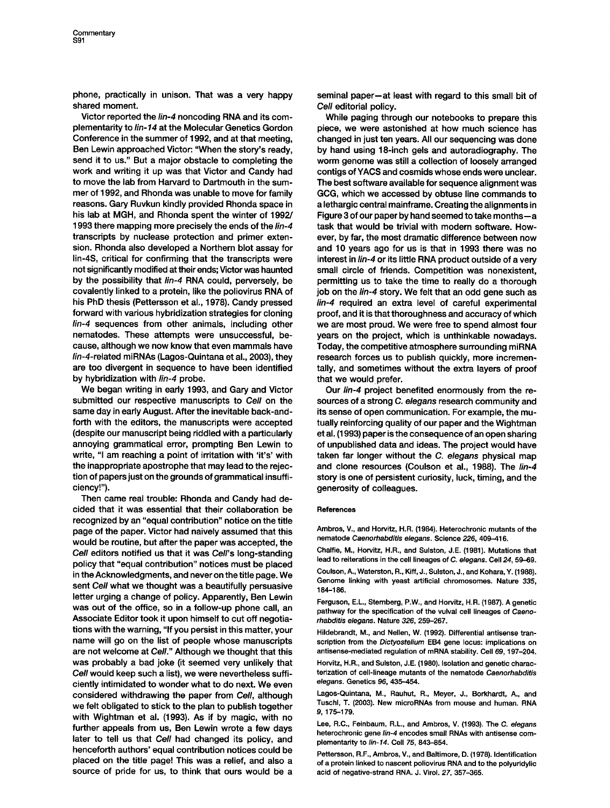phone, practically in unison. That was a very happy shared moment.

Victor reported the *lin-4* noncoding RNA and its complementarity to lin-14 at the Molecular Genetics Gordon Conference in the summer of 1992, and at that meeting, Ben Lewin approached Victor: "When the story's ready, send it to us." But a major obstacle to completing the work and writing it up was that Victor and Candy had to move the lab from Harvard to Dartmouth in the summer of 1992, and Rhonda was unable to move for family reasons. Gary Ruvkun kindly provided Rhonda space in his lab at MGH, and Rhonda spent the winter of 1992/ 1993 there mapping more precisely the ends of the *lin-4*  transcripts by nuclease protection and primer extension. Rhonda also developed a Northern blot assay for lin-4S, critical for confirming that the transcripts were not significantly modified at their ends; Victor was haunted by the possibility that *lin-4* RNA could, perversely, be covalently linked to a protein, like the poliovirus RNA of his PhD thesis (Pettersson et al., 1978). Candy pressed forward with various hybridization strategies for cloning *lin-4* sequences from other animals, including other nematodes. These attempts were unsuccessful, because, although we now know that even mammals have *lin-4-related* miRNAs (Lagos-Quintana et al., 2003), they are too divergent in sequence to have been identified by hybridization with *lin-4* probe.

We began writing in early 1993, and Gary and Victor submitted our respective manuscripts to *Cell* on the same day in early August. After the inevitable back-andforth with the editors, the manuscripts were accepted (despite our manuscript being riddled with a particularly annoying grammatical error, prompting Ben Lewin to write, "1 am reaching a point of irritation with 'it's' with the inappropriate apostrophe that may lead to the rejection of papers just on the grounds of grammatical insufficiency!").

Then came real trouble: Rhonda and Candy had decided that it was essential that their collaboration be recognized by an "equal contribution" notice on the title page of the paper. Victor had naively assumed that this would be routine, but after the paper was accepted, the *Cell* editors notified us that it was *Cell's* long-standing policy that "equal contribution" notices must be placed in the Acknowledgments, and never on the title page. We sent *Cell* what we thought was a beautifully persuasive letter urging a change of policy. Apparently, Ben Lewin was out of the office, so in a follow-up phone call, an Associate Editor took it upon himself to cut off negotiations with the warning, "If you persist in this matter, your name will go on the list of people whose manuscripts are not welcome at *Cell."* Although we thought that this was probably a bad joke (it seemed very unlikely that *Cell* would keep such a list), we were nevertheless sufficiently intimidated to wonder what to do next. We even considered withdrawing the paper from *Cell,* although we felt obligated to stick to the plan to publish together with Wightman et al. (1993). As if by magic, with no further appeals from us, Ben Lewin wrote a few days later to tell us that *Cell* had changed its policy, and henceforth authors' equal contribution notices could be placed on the title page! This was a relief, and also a source of pride for us, to think that ours would be a

seminal paper-at least with regard to this small bit of *Cell* editorial policy.

While paging through our notebooks to prepare this piece, we were astonished at how much science has changed in just ten years. All our sequencing was done by hand using 18-inch gels and autoradiography. The worm genome was still a collection of loosely arranged contigs of YACS and cosmids whose ends were unclear. The best software available for sequence alignment was GCG, which we accessed by obtuse line commands to a lethargic central mainframe. Creating the alignments in Figure 3 of our paper by hand seemed to take months- $a$ task that would be trivial with modern software. However, by far, the most dramatic difference between now and 10 years ago for us is that in 1993 there was no interest in *lin-4* or its little RNA product outside of a very small circle of friends. Competition was nonexistent, permitting us to take the time to really do a thorough job on the *lin-4* story. We felt that an odd gene such as *lin-4* required an extra level of careful experimental proof, and it is that thoroughness and accuracy of which we are most proud. We were free to spend almost four years on the project, which is unthinkable nowadays. Today, the competitive atmosphere surrounding miRNA research forces us to publish quickly, more incrementally, and sometimes without the extra layers of proof that we would prefer.

Our *lin-4* project benefited enormously from the resources of a strong *C. elegans* research community and its sense of open communication. For example, the mutually reinforcing quality of our paper and the Wightman et al. (1993) paper is the consequence of an open sharing of unpublished data and ideas. The project would have taken far longer without the C. *elegans* physical map and clone resources (Coulson et al., 1988). The *lln-4*  story is one of persistent curiosity, luck, timing, and the generosity of colleagues.

## **References**

Ambros, V., and Horvitz, H.R. (1984). Heterochronic mutants of the nematode *Caenorhabditis elegans.* Science *226,* 409-416.

Chalfie, M., Horvitz, H.R., and Sulston, J.E. (1981). Mutations that lead to reiterations in the cell lineages of C. *elegans.* Cell *24,* 59-69.

Coulson, A., Waterston, R., Kiff, J., Sulston, J., and Kohara, Y. (1988). Genome linking with yeast artificial chromosomes. Nature *335,*  184-186.

Ferguson, E.L., Sternberg, P.W., and Horvitz, H.R. (1987). A genetic pathway for the specification of the vulval cell lineages of *Caenorhabditis elegans.* Nature *326,* 259-267.

Hildebrandt, M., and Nellen, W. (1992). Differential antisense transcription from the *Dictyostelium* EB4 gene locus: implications on antisense-mediated regulation of mRNA stability. Cell 69, 197-204.

Horvitz, H.R., and Sulston, J.E. (1980). Isolation and genetic characterization of cell-lineage mutants of the nematode *Caenorhabditis elegans.* Genetics 96, 435-454.

Lagos-Quintana, M., Rauhut, R., Meyer, J., Borkhardt, A., and Tuschl, T. (2003). New microRNAs from mouse and human. RNA 9, 175-179.

Lee, R.C., Feinbaum, R.L., and Ambros, V. (1993). The *C. elegans*  heterochronic gene *lin-4* encodes small RNAs with antisense complementarity to *lin-14.* Cell *75,* 843-854.

Pettersson, R.F., Ambros, V., and Baltimore, D. (1978). Identification of a protein linked to nascent poliovirus RNA and to the polyuridylic acid of negative-strand RNA. J. Virol. *27,* 357-365.